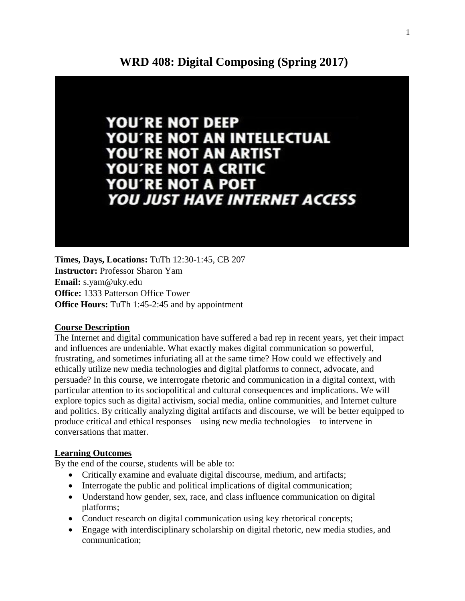

**Times, Days, Locations:** TuTh 12:30-1:45, CB 207 **Instructor:** Professor Sharon Yam **Email:** s.yam@uky.edu **Office:** 1333 Patterson Office Tower **Office Hours:** TuTh 1:45-2:45 and by appointment

## **Course Description**

The Internet and digital communication have suffered a bad rep in recent years, yet their impact and influences are undeniable. What exactly makes digital communication so powerful, frustrating, and sometimes infuriating all at the same time? How could we effectively and ethically utilize new media technologies and digital platforms to connect, advocate, and persuade? In this course, we interrogate rhetoric and communication in a digital context, with particular attention to its sociopolitical and cultural consequences and implications. We will explore topics such as digital activism, social media, online communities, and Internet culture and politics. By critically analyzing digital artifacts and discourse, we will be better equipped to produce critical and ethical responses—using new media technologies—to intervene in conversations that matter.

## **Learning Outcomes**

By the end of the course, students will be able to:

- Critically examine and evaluate digital discourse, medium, and artifacts;
- Interrogate the public and political implications of digital communication;
- Understand how gender, sex, race, and class influence communication on digital platforms;
- Conduct research on digital communication using key rhetorical concepts;
- Engage with interdisciplinary scholarship on digital rhetoric, new media studies, and communication;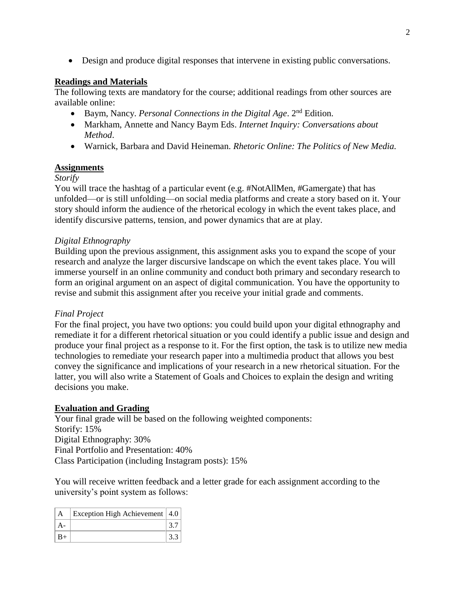• Design and produce digital responses that intervene in existing public conversations.

# **Readings and Materials**

The following texts are mandatory for the course; additional readings from other sources are available online:

- Baym, Nancy. *Personal Connections in the Digital Age*. 2<sup>nd</sup> Edition.
- Markham, Annette and Nancy Baym Eds. *Internet Inquiry: Conversations about Method*.
- Warnick, Barbara and David Heineman. *Rhetoric Online: The Politics of New Media.*

# **Assignments**

# *Storify*

You will trace the hashtag of a particular event (e.g. #NotAllMen, #Gamergate) that has unfolded—or is still unfolding—on social media platforms and create a story based on it. Your story should inform the audience of the rhetorical ecology in which the event takes place, and identify discursive patterns, tension, and power dynamics that are at play.

# *Digital Ethnography*

Building upon the previous assignment, this assignment asks you to expand the scope of your research and analyze the larger discursive landscape on which the event takes place. You will immerse yourself in an online community and conduct both primary and secondary research to form an original argument on an aspect of digital communication. You have the opportunity to revise and submit this assignment after you receive your initial grade and comments.

## *Final Project*

For the final project, you have two options: you could build upon your digital ethnography and remediate it for a different rhetorical situation or you could identify a public issue and design and produce your final project as a response to it. For the first option, the task is to utilize new media technologies to remediate your research paper into a multimedia product that allows you best convey the significance and implications of your research in a new rhetorical situation. For the latter, you will also write a Statement of Goals and Choices to explain the design and writing decisions you make.

## **Evaluation and Grading**

Your final grade will be based on the following weighted components: Storify: 15% Digital Ethnography: 30% Final Portfolio and Presentation: 40% Class Participation (including Instagram posts): 15%

You will receive written feedback and a letter grade for each assignment according to the university's point system as follows:

|       | Exception High Achievement   4.0 |  |
|-------|----------------------------------|--|
|       |                                  |  |
| $ B+$ |                                  |  |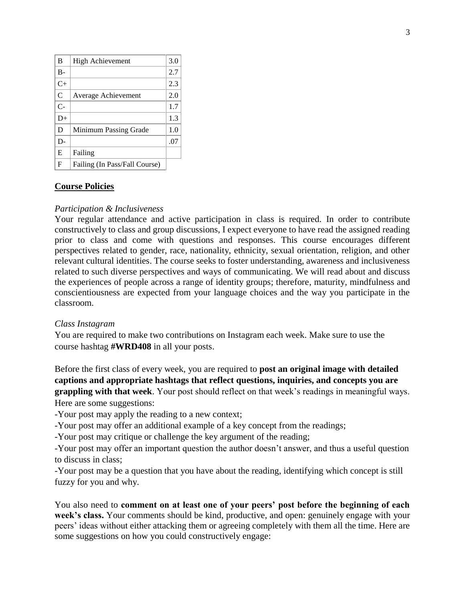| B             | High Achievement              | 3.0 |
|---------------|-------------------------------|-----|
| $B -$         |                               | 2.7 |
| $C+$          |                               | 2.3 |
| $\mathcal{C}$ | Average Achievement           | 2.0 |
| $C-$          |                               | 1.7 |
| $D+$          |                               | 1.3 |
| D             | Minimum Passing Grade         | 1.0 |
| D-            |                               | .07 |
| E             | Failing                       |     |
| F             | Failing (In Pass/Fall Course) |     |

# **Course Policies**

### *Participation & Inclusiveness*

Your regular attendance and active participation in class is required. In order to contribute constructively to class and group discussions, I expect everyone to have read the assigned reading prior to class and come with questions and responses. This course encourages different perspectives related to gender, race, nationality, ethnicity, sexual orientation, religion, and other relevant cultural identities. The course seeks to foster understanding, awareness and inclusiveness related to such diverse perspectives and ways of communicating. We will read about and discuss the experiences of people across a range of identity groups; therefore, maturity, mindfulness and conscientiousness are expected from your language choices and the way you participate in the classroom.

### *Class Instagram*

You are required to make two contributions on Instagram each week. Make sure to use the course hashtag **#WRD408** in all your posts.

Before the first class of every week, you are required to **post an original image with detailed captions and appropriate hashtags that reflect questions, inquiries, and concepts you are grappling with that week**. Your post should reflect on that week's readings in meaningful ways. Here are some suggestions:

-Your post may apply the reading to a new context;

-Your post may offer an additional example of a key concept from the readings;

-Your post may critique or challenge the key argument of the reading;

-Your post may offer an important question the author doesn't answer, and thus a useful question to discuss in class;

-Your post may be a question that you have about the reading, identifying which concept is still fuzzy for you and why.

You also need to **comment on at least one of your peers' post before the beginning of each week's class.** Your comments should be kind, productive, and open: genuinely engage with your peers' ideas without either attacking them or agreeing completely with them all the time. Here are some suggestions on how you could constructively engage: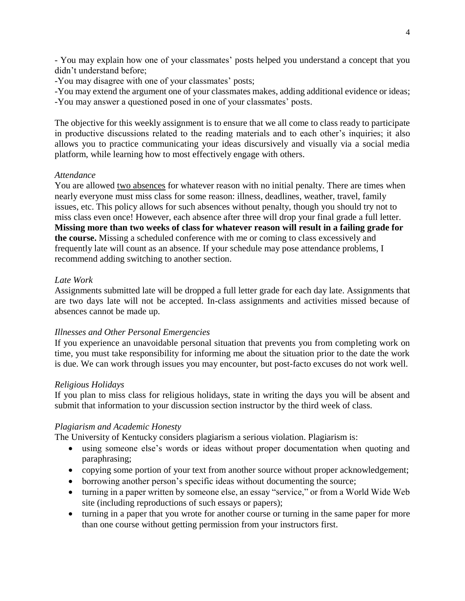- You may explain how one of your classmates' posts helped you understand a concept that you didn't understand before;

-You may disagree with one of your classmates' posts;

-You may extend the argument one of your classmates makes, adding additional evidence or ideas; -You may answer a questioned posed in one of your classmates' posts.

The objective for this weekly assignment is to ensure that we all come to class ready to participate in productive discussions related to the reading materials and to each other's inquiries; it also allows you to practice communicating your ideas discursively and visually via a social media platform, while learning how to most effectively engage with others.

### *Attendance*

You are allowed two absences for whatever reason with no initial penalty. There are times when nearly everyone must miss class for some reason: illness, deadlines, weather, travel, family issues, etc. This policy allows for such absences without penalty, though you should try not to miss class even once! However, each absence after three will drop your final grade a full letter. **Missing more than two weeks of class for whatever reason will result in a failing grade for the course.** Missing a scheduled conference with me or coming to class excessively and frequently late will count as an absence. If your schedule may pose attendance problems, I recommend adding switching to another section.

### *Late Work*

Assignments submitted late will be dropped a full letter grade for each day late. Assignments that are two days late will not be accepted. In-class assignments and activities missed because of absences cannot be made up.

### *Illnesses and Other Personal Emergencies*

If you experience an unavoidable personal situation that prevents you from completing work on time, you must take responsibility for informing me about the situation prior to the date the work is due. We can work through issues you may encounter, but post-facto excuses do not work well.

### *Religious Holidays*

If you plan to miss class for religious holidays, state in writing the days you will be absent and submit that information to your discussion section instructor by the third week of class.

### *Plagiarism and Academic Honesty*

The University of Kentucky considers plagiarism a serious violation. Plagiarism is:

- using someone else's words or ideas without proper documentation when quoting and paraphrasing;
- copying some portion of your text from another source without proper acknowledgement;
- borrowing another person's specific ideas without documenting the source;
- turning in a paper written by someone else, an essay "service," or from a World Wide Web site (including reproductions of such essays or papers);
- turning in a paper that you wrote for another course or turning in the same paper for more than one course without getting permission from your instructors first.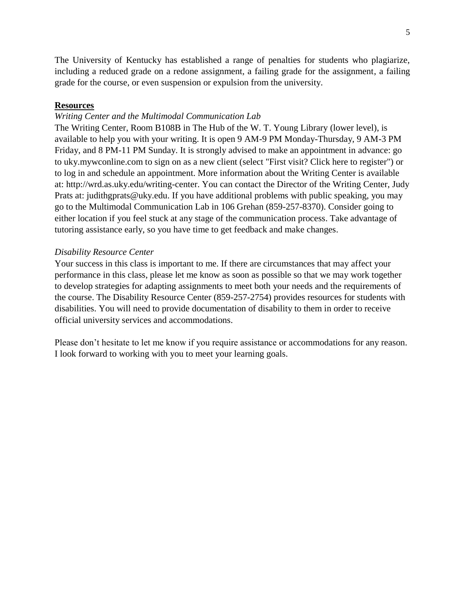The University of Kentucky has established a range of penalties for students who plagiarize, including a reduced grade on a redone assignment, a failing grade for the assignment, a failing grade for the course, or even suspension or expulsion from the university.

### **Resources**

#### *Writing Center and the Multimodal Communication Lab*

The Writing Center, Room B108B in The Hub of the W. T. Young Library (lower level), is available to help you with your writing. It is open 9 AM-9 PM Monday-Thursday, 9 AM-3 PM Friday, and 8 PM-11 PM Sunday. It is strongly advised to make an appointment in advance: go to uky.mywconline.com to sign on as a new client (select "First visit? Click here to register") or to log in and schedule an appointment. More information about the Writing Center is available at: http://wrd.as.uky.edu/writing-center. You can contact the Director of the Writing Center, Judy Prats at: judithgprats@uky.edu. If you have additional problems with public speaking, you may go to the Multimodal Communication Lab in 106 Grehan (859-257-8370). Consider going to either location if you feel stuck at any stage of the communication process. Take advantage of tutoring assistance early, so you have time to get feedback and make changes.

#### *Disability Resource Center*

Your success in this class is important to me. If there are circumstances that may affect your performance in this class, please let me know as soon as possible so that we may work together to develop strategies for adapting assignments to meet both your needs and the requirements of the course. The Disability Resource Center (859-257-2754) provides resources for students with disabilities. You will need to provide documentation of disability to them in order to receive official university services and accommodations.

Please don't hesitate to let me know if you require assistance or accommodations for any reason. I look forward to working with you to meet your learning goals.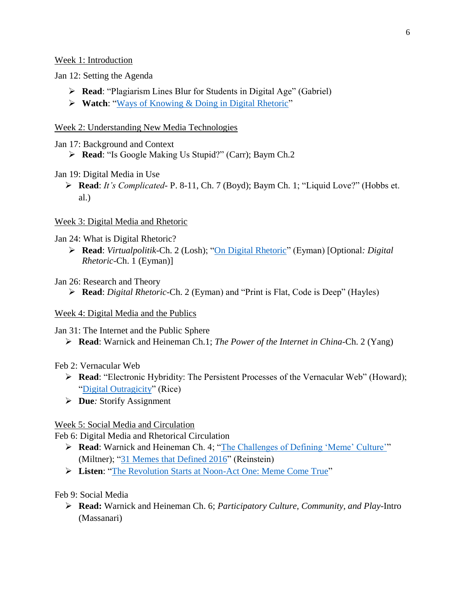Week 1: Introduction

Jan 12: Setting the Agenda

- ➢ **Read**: "Plagiarism Lines Blur for Students in Digital Age" (Gabriel)
- ➢ **Watch**: ["Ways of Knowing & Doing in Digital Rhetoric"](https://www.youtube.com/watch?v=pwNI4tZnwHc)

# Week 2: Understanding New Media Technologies

Jan 17: Background and Context

- ➢ **Read**: "Is Google Making Us Stupid?" (Carr); Baym Ch.2
- Jan 19: Digital Media in Use
	- ➢ **Read**: *It's Complicated* P. 8-11, Ch. 7 (Boyd); Baym Ch. 1; "Liquid Love?" (Hobbs et. al.)

# Week 3: Digital Media and Rhetoric

Jan 24: What is Digital Rhetoric?

➢ **Read**: *Virtualpolitik*-Ch. 2 (Losh); ["On Digital Rhetoric"](http://www.digitalrhetoriccollaborative.org/2012/05/16/on-digital-rhetoric/) (Eyman) [Optional*: Digital Rhetoric*-Ch. 1 (Eyman)]

Jan 26: Research and Theory

➢ **Read**: *Digital Rhetoric*-Ch. 2 (Eyman) and "Print is Flat, Code is Deep" (Hayles)

## Week 4: Digital Media and the Publics

Jan 31: The Internet and the Public Sphere

➢ **Read**: Warnick and Heineman Ch.1; *The Power of the Internet in China*-Ch. 2 (Yang)

# Feb 2: Vernacular Web

- ➢ **Read**: "Electronic Hybridity: The Persistent Processes of the Vernacular Web" (Howard); ["Digital Outragicity"](http://enculturation.net/digital_outragicity) (Rice)
- ➢ **Due***:* Storify Assignment

# Week 5: Social Media and Circulation

Feb 6: Digital Media and Rhetorical Circulation

- ➢ **Read**: Warnick and Heineman Ch. 4; ["The Challenges of Defining 'Meme' Culture'"](http://culturedigitally.org/2015/10/memeology-festival-02-from-feels-to-structure-of-feeling-the-challenges-of-defining-meme-culture/) (Miltner); ["31 Memes that Defined 2016"](https://www.buzzfeed.com/juliareinstein/i-will-re-meme-ber-you?utm_term=.vc9RbYjy8b#.hloxay7Dpa) (Reinstein)
- ➢ **Listen**: ["The Revolution Starts at Noon-Act One: Meme Come True"](https://www.thisamericanlife.org/radio-archives/episode/608/the-revolution-starts-at-noon?act=1#play)

Feb 9: Social Media

➢ **Read:** Warnick and Heineman Ch. 6; *Participatory Culture, Community, and Play*-Intro (Massanari)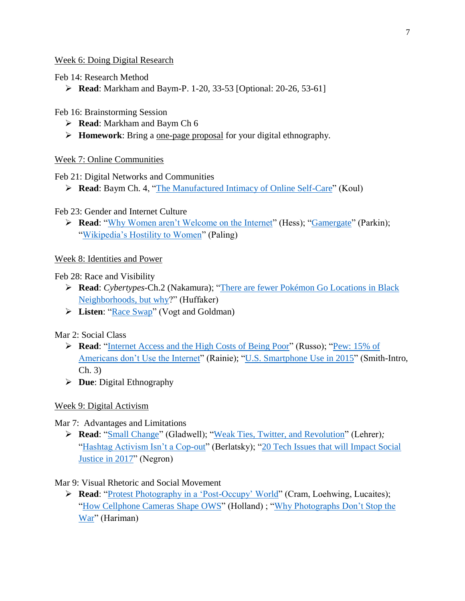# Week 6: Doing Digital Research

Feb 14: Research Method

➢ **Read**: Markham and Baym-P. 1-20, 33-53 [Optional: 20-26, 53-61]

Feb 16: Brainstorming Session

- ➢ **Read**: Markham and Baym Ch 6
- ➢ **Homework**: Bring a one-page proposal for your digital ethnography.

# Week 7: Online Communities

Feb 21: Digital Networks and Communities

➢ **Read**: Baym Ch. 4, ["The Manufactured Intimacy of Online Self-Care"](https://www.buzzfeed.com/scaachikoul/the-manufactured-intimacy-of-online-self-care?utm_term=.xer87bLVB7#.gmmLNYEW7N) (Koul)

# Feb 23: Gender and Internet Culture

➢ **Read**: ["Why Women aren't Welcome on the Internet"](https://psmag.com/why-women-aren-t-welcome-on-the-internet-aa21fdbc8d6#.xjzjil5wa) (Hess); ["Gamergate"](http://www.newyorker.com/tech/elements/gamergate-scandal-erupts-video-game-community) (Parkin); ["Wikipedia's Hostility to Women"](http://www.theatlantic.com/technology/archive/2015/10/how-wikipedia-is-hostile-to-women/411619/) (Paling)

# Week 8: Identities and Power

# Feb 28: Race and Visibility

- ➢ **Read**: *Cybertypes*-Ch.2 (Nakamura); ["There are fewer Pokémon Go Locations in Black](http://www.bnd.com/news/nation-world/national/article89562297.html)  [Neighborhoods, but why?](http://www.bnd.com/news/nation-world/national/article89562297.html)" (Huffaker)
- ➢ **Listen**: ["Race Swap"](http://www.wnyc.org/story/31-race-swap-experiment/) (Vogt and Goldman)

# Mar 2: Social Class

- ➢ **Read**: ["Internet Access and the High Costs of Being Poor"](https://workingclassstudies.wordpress.com/2015/09/13/internet-access-and-the-high-costs-of-being-poor/) (Russo); ["Pew: 15% of](https://www.washingtonpost.com/posttv/business/technology/pew-15-percent-of-americans-dont-use-the-internet/2013/11/06/172a067c-4698-11e3-bf0c-cebf37c6f484_video.html)  [Americans don't Use the Internet"](https://www.washingtonpost.com/posttv/business/technology/pew-15-percent-of-americans-dont-use-the-internet/2013/11/06/172a067c-4698-11e3-bf0c-cebf37c6f484_video.html) (Rainie); ["U.S. Smartphone Use in 2015"](http://www.pewinternet.org/2015/04/01/us-smartphone-use-in-2015/) (Smith-Intro, Ch. 3)
- ➢ **Due**: Digital Ethnography

# Week 9: Digital Activism

# Mar 7: Advantages and Limitations

➢ **Read**: ["Small Change"](http://www.newyorker.com/magazine/2010/10/04/small-change-malcolm-gladwell) (Gladwell); ["Weak Ties, Twitter, and Revolution"](https://www.wired.com/2010/09/weak-ties-twitter-and-revolutions/) (Lehrer)*;* ["Hashtag Activism Isn't a Cop-out"](http://www.theatlantic.com/politics/archive/2015/01/not-just-hashtag-activism-why-social-media-matters-to-protestors/384215/) (Berlatsky); "20 Tech Issues that will Impact Social [Justice in 2017"](http://texasedequity.blogspot.com/2017/01/10-tech-issues-that-will-impact-social.html?spref=fb) (Negron)

# Mar 9: Visual Rhetoric and Social Movement

➢ **Read**: ["Protest Photography in a 'Post-Occupy' World"](http://enculturation.net/protest-photography-in-a-post-occupy-world) (Cram, Loehwing, Lucaites); ["How Cellphone Cameras](http://www.salon.com/2011/10/26/how_cellphone_cameras_shape_ows/) Shape OWS" (Holland) ; ["Why Photographs Don't Stop the](http://www.readingthepictures.org/2016/12/why-photos-dont-stop-the-war/)  [War"](http://www.readingthepictures.org/2016/12/why-photos-dont-stop-the-war/) (Hariman)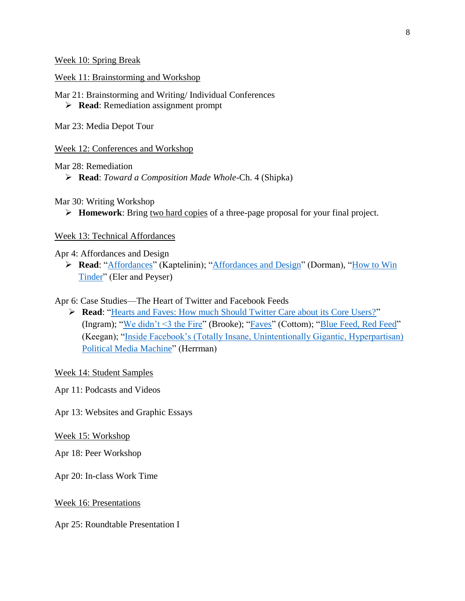Week 10: Spring Break

Week 11: Brainstorming and Workshop

Mar 21: Brainstorming and Writing/ Individual Conferences

➢ **Read**: Remediation assignment prompt

Mar 23: Media Depot Tour

Week 12: Conferences and Workshop

Mar 28: Remediation

➢ **Read**: *Toward a Composition Made Whole*-Ch. 4 (Shipka)

Mar 30: Writing Workshop

➢ **Homework**: Bring two hard copies of a three-page proposal for your final project.

Week 13: Technical Affordances

Apr 4: Affordances and Design

➢ **Read**: ["Affordances"](https://www.interaction-design.org/literature/book/the-encyclopedia-of-human-computer-interaction-2nd-ed/affordances) (Kaptelinin); ["Affordances and Design"](http://www.jnd.org/dn.mss/affordances_and.html) (Dorman), ["How to Win](http://thenewinquiry.com/essays/how-to-win-tinder)  [Tinder"](http://thenewinquiry.com/essays/how-to-win-tinder) (Eler and Peyser)

Apr 6: Case Studies—The Heart of Twitter and Facebook Feeds

➢ **Read**: ["Hearts and Faves: How much Should Twitter Care about its Core Users?"](http://fortune.com/2015/11/03/twitter-hearts/) (Ingram); ["We didn't <3 the Fire"](https://medium.com/@cgbrooke/we-didn-t-the-fire-4c0eee4857e3#.k2tv3zhrl) (Brooke); ["Faves"](https://medium.com/message/faves-71b8fc71659e#.6xquwuf9o) (Cottom); ["Blue Feed, Red Feed"](http://graphics.wsj.com/blue-feed-red-feed/) (Keegan); ["Inside Facebook's \(Totally Insane, Unintentionally Gigantic, Hyperpartisan\)](http://www.nytimes.com/2016/08/28/magazine/inside-facebooks-totally-insane-unintentionally-gigantic-hyperpartisan-political-media-machine.html)  [Political Media Machine"](http://www.nytimes.com/2016/08/28/magazine/inside-facebooks-totally-insane-unintentionally-gigantic-hyperpartisan-political-media-machine.html) (Herrman)

Week 14: Student Samples

Apr 11: Podcasts and Videos

Apr 13: Websites and Graphic Essays

Week 15: Workshop

Apr 18: Peer Workshop

Apr 20: In-class Work Time

Week 16: Presentations

Apr 25: Roundtable Presentation I